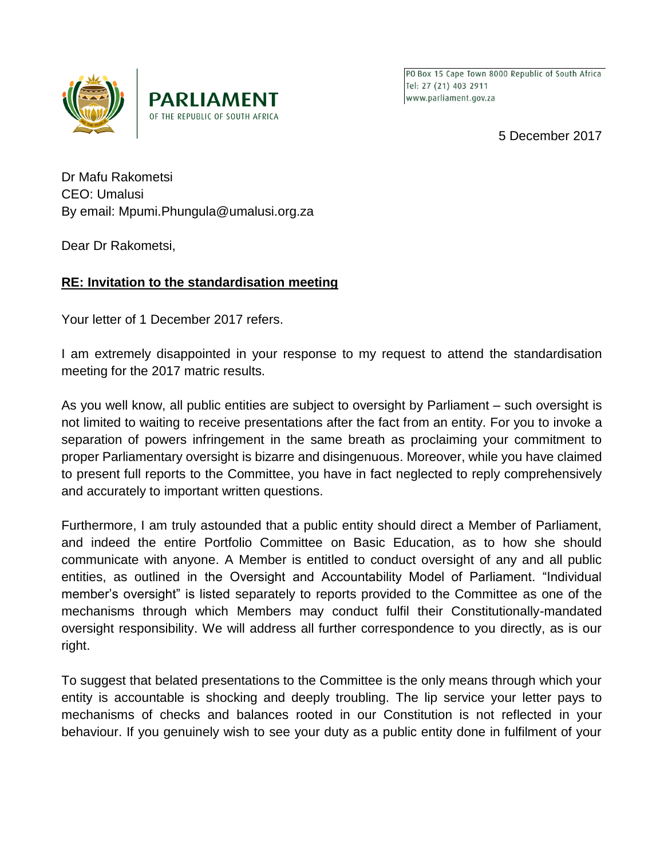



PO Box 15 Cape Town 8000 Republic of South Africa Tel: 27 (21) 403 2911 www.parliament.gov.za

5 December 2017

Dr Mafu Rakometsi CEO: Umalusi By email: Mpumi.Phungula@umalusi.org.za

Dear Dr Rakometsi,

## **RE: Invitation to the standardisation meeting**

Your letter of 1 December 2017 refers.

I am extremely disappointed in your response to my request to attend the standardisation meeting for the 2017 matric results.

As you well know, all public entities are subject to oversight by Parliament – such oversight is not limited to waiting to receive presentations after the fact from an entity. For you to invoke a separation of powers infringement in the same breath as proclaiming your commitment to proper Parliamentary oversight is bizarre and disingenuous. Moreover, while you have claimed to present full reports to the Committee, you have in fact neglected to reply comprehensively and accurately to important written questions.

Furthermore, I am truly astounded that a public entity should direct a Member of Parliament, and indeed the entire Portfolio Committee on Basic Education, as to how she should communicate with anyone. A Member is entitled to conduct oversight of any and all public entities, as outlined in the Oversight and Accountability Model of Parliament. "Individual member's oversight" is listed separately to reports provided to the Committee as one of the mechanisms through which Members may conduct fulfil their Constitutionally-mandated oversight responsibility. We will address all further correspondence to you directly, as is our right.

To suggest that belated presentations to the Committee is the only means through which your entity is accountable is shocking and deeply troubling. The lip service your letter pays to mechanisms of checks and balances rooted in our Constitution is not reflected in your behaviour. If you genuinely wish to see your duty as a public entity done in fulfilment of your